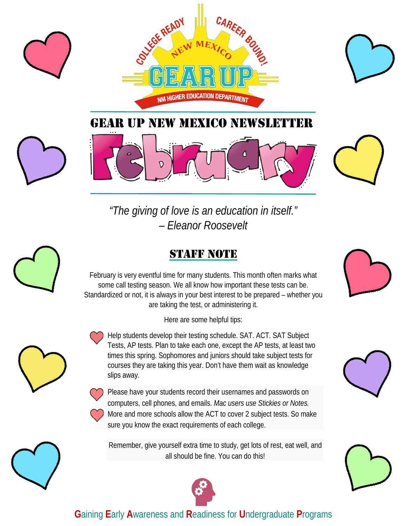



*"The giving of love is an education in itself." – Eleanor Roosevelt* 

## **STAFF NOTE**

February is very eventful time for many students. This month often marks what some call testing season. We all know how important these tests can be. Standardized or not, it is always in your best interest to be prepared – whether you are taking the test, or administering it.

Here are some helpful tips:

• Help students develop their testing schedule. SAT. ACT. SAT Subject Tests, AP tests. Plan to take each one, except the AP tests, at least two times this spring. Sophomores and juniors should take subject tests for courses they are taking this year. Don't have them wait as knowledge slips away.

• Please have your students record their usernames and passwords on computers, cell phones, and emails. *Mac users use Stickies or Notes.* • More and more schools allow the ACT to cover 2 subject tests. So make sure you know the exact requirements of each college.

Remember, give yourself extra time to study, get lots of rest, eat well, and all should be fine. You can do this!



## **G**aining **E**arly **A**wareness and **R**eadiness for **U**ndergraduate **P**rograms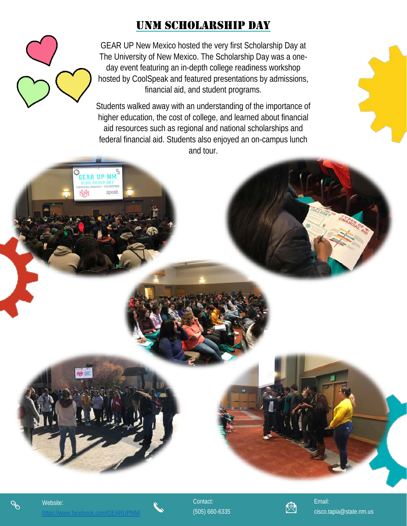## UNM SCHOLARSHIP DAY

GEAR UP New Mexico hosted the very first Scholarship Day at The University of New Mexico. The Scholarship Day was a oneday event featuring an in-depth college readiness workshop hosted by CoolSpeak and featured presentations by admissions, financial aid, and student programs.

Students walked away with an understanding of the importance of higher education, the cost of college, and learned about financial aid resources such as regional and national scholarships and federal financial aid. Students also enjoyed an on-campus lunch and tour.

 $\mathscr{S}$ 

**GEAR UP NM** 

ŃŇ

speak



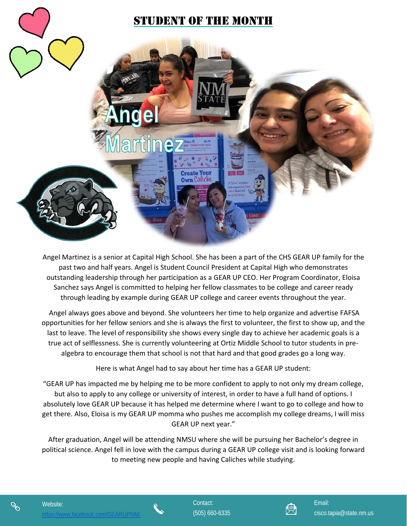

Angel Martinez is a senior at Capital High School. She has been a part of the CHS GEAR UP family for the past two and half years. Angel is Student Council President at Capital High who demonstrates outstanding leadership through her participation as a GEAR UP CEO. Her Program Coordinator, Eloisa Sanchez says Angel is committed to helping her fellow classmates to be college and career ready through leading by example during GEAR UP college and career events throughout the year.

Angel always goes above and beyond. She volunteers her time to help organize and advertise FAFSA opportunities for her fellow seniors and she is always the first to volunteer, the first to show up, and the last to leave. The level of responsibility she shows every single day to achieve her academic goals is a true act of selflessness. She is currently volunteering at Ortiz Middle School to tutor students in prealgebra to encourage them that school is not that hard and that good grades go a long way.

Here is what Angel had to say about her time has a GEAR UP student:

"GEAR UP has impacted me by helping me to be more confident to apply to not only my dream college, but also to apply to any college or university of interest, in order to have a full hand of options. I absolutely love GEAR UP because it has helped me determine where I want to go to college and how to get there. Also, Eloisa is my GEAR UP momma who pushes me accomplish my college dreams, I will miss GEAR UP next year."

After graduation, Angel will be attending NMSU where she will be pursuing her Bachelor's degree in political science. Angel fell in love with the campus during a GEAR UP college visit and is looking forward to meeting new people and having Caliches while studying.



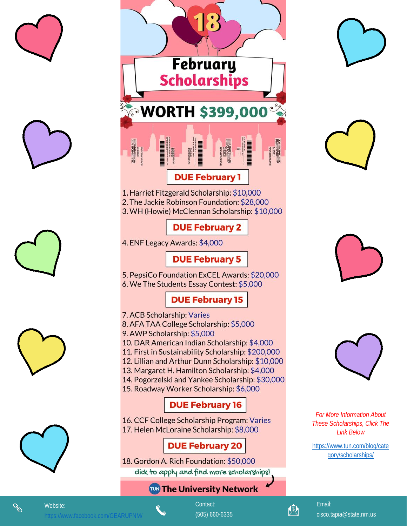









Website:



1. Harriet Fitzgerald Scholarship: \$10,000 2. The Jackie Robinson Foundation: \$28,000 3. WH (Howie) McClennan Scholarship: \$10,000

## **DUE February 2**

4. ENF Legacy Awards: \$4,000

## **DUE February 5**

5. PepsiCo Foundation ExCEL Awards: \$20,000 6. We The Students Essay Contest: \$5,000

## **DUE February 15**

- 7. ACB Scholarship: Varies
- 8. AFA TAA College Scholarship: \$5,000
- 9. AWP Scholarship: \$5,000
- 10. DAR American Indian Scholarship: \$4,000
- 11. First in Sustainability Scholarship: \$200,000
- 12. Lillian and Arthur Dunn Scholarship: \$10,000
- 13. Margaret H. Hamilton Scholarship: \$4,000
- 14. Pogorzelski and Yankee Scholarship: \$30,000
- 15. Roadway Worker Scholarship: \$6,000

## **DUE February 16**

16. CCF College Scholarship Program: Varies 17. Helen McLoraine Scholarship: \$8,000

## **DUE February 20**

18. Gordon A. Rich Foundation: \$50,000 click to apply and find more scholarships!

## **TUN The University Network**









**For More Information About** These Scholarships, Click The **Link Below** 

https://www.tun.com/blog/cate qory/scholarships/



Contact: (505) 660-6335



Email: cisco.tapia@state.nm.us

8